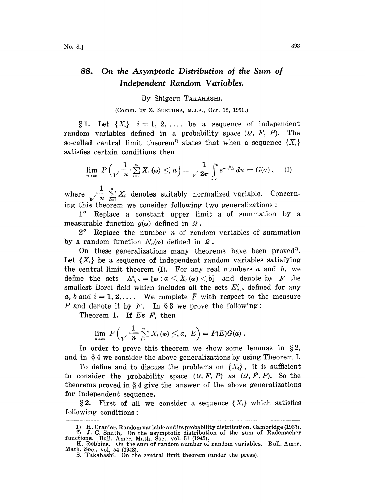## 88. On the Asymptotic Distribution of the Sum of Independent Random Variables.

## By Shigeru TAKAHASHI.

(Comm. by Z. SUETUNA, M.J.A., Oct. 12, 1951.)

§1. Let  $\{X_i\}$   $i=1, 2, \ldots$  be a sequence of independent random variables defined in a probability space  $(2, F, P)$ . The so-called central limit theorem<sup>1</sup> states that when a sequence  $\{X_i\}$ so-called central limit theorem<br>satisfies certain conditions then

$$
\lim_{n\to\infty} P\left(\sqrt{\frac{1}{n}\sum_{i=1}^n X_i\left(\omega\right)} \leq a\right) = \sqrt{\frac{1}{2\pi}} \int_{-\infty}^a e^{-u^2/2} du = G(a), \quad (I)
$$

where  $\frac{1}{\sqrt{n}} \sum_{i=1}^{n} X_i$  denotes suitably normalized variable. Concerning this theorem we consider following two generalizations:

1° Replace a constant upper limit a of summation by a measurable function  $g(\omega)$  defined in  $\Omega$ .

 $2^{\circ}$  Replace the number *n* of random variables of summation by a random function  $N_n(\omega)$  defined in  $\Omega$ .

On these generalizations many theorems have been proved<sup>3</sup>. Let  ${X<sub>i</sub>}$  be a sequence of independent random variables satisfying the central limit theorem (I). For any real numbers  $a$  and  $b$ , we define the sets  $E^i_{a,b}=[\omega:a\leq X_i(\omega)< b]$  and denote by  $\bar{F}$  the smallest Borel field which includes all the sets  $E_{a,b}$  defined for any a, b and  $i = 1, 2, \ldots$  We complete  $\bar{F}$  with respect to the measure P and denote it by  $\overline{F}$ . In §3 we prove the following:

Theorem 1. If  $E \varepsilon \bar{F}$ , then

$$
\lim_{n\to\infty} P\left(\sqrt{\frac{1}{n}\sum_{i=1}^n X_i\left(\omega\right)} \leq a, \ E\right) = P(E)G(a) .
$$

In order to prove this theorem we show some lemmas in  $\S 2$ , and in  $\S 4$  we consider the above generalizations by using Theorem I.

To define and to discuss the problems on  ${X<sub>i</sub>}$ , it is sufficient to consider the probability space  $(Q, F, P)$  as  $(Q, F, P)$ . So the theorems proved in  $\S 4$  give the answer of the above generalizations for independent sequence.

§2. First of all we consider a sequence  $\{X_i\}$  which satisfies following conditions:

<sup>1)</sup> H. Cranier, Random variable and its probability distribution. Cambridge (1937).<br>
2) J. C. Smith, On the asymptotic distribution of the sum of Rademacher<br>
functions. Bull. Amer. Math. Soc., vol. 51 (1945).

H. Robbins, On the sum of random number of random variables. Bull. Amer. Math. Soc., vol. 54 (1948). S. Takahashi, On the central limit theorem (under the press).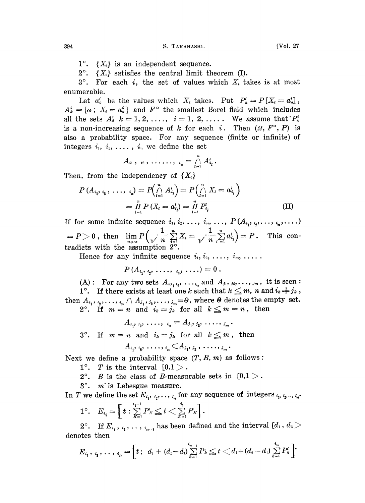$1^\circ$ .  $\{X_i\}$  is an independent sequence.

 $2^{\circ}$ .  $\{X_i\}$  satisfies the central limit theorem (I).

 $3^\circ$ . For each i, the set of values which  $X_i$  takes is at most enumerable.

Let  $a'_k$  be the values which  $X_i$  takes. Put  $P'_i = P[X_i = a'_i],$  $A_k^i = [\omega : X_i = a_k^i]$  and  $F^{\circ}$  the smallest Borel field which includes all the sets  $A_k^i$   $k=1,2, \ldots, i=1, 2, \ldots$ . We assume that  $P_k^i$ is a non-increasing sequence of k for each i. Then  $(Q, F^{\circ}, P)$  is also a probability space. For any sequence (finite or infinite) of integers  $i_1, i_2, \ldots, i_n$  we define the set

$$
A_{i1}, i_2, \ldots, i_n = \bigcap_{l=1}^n A_{i_l}^l.
$$

Then, from the independency of  $\{X_i\}$ 

$$
P(A_{i_1}, i_2, \ldots, i_n) = P\left(\bigcap_{i=1}^n A_{i_i}^i\right) = P\left(\bigcap_{i=1}^n X_i = a_{i_i}^i\right)
$$
  
= 
$$
\prod_{i=1}^n P(X_i = a_{i_i}^i) = \prod_{i=1}^n P_{i_i}^i
$$
 (II)

If for some infinite sequence  $i_1, i_2, ..., i_n, ..., P(A_{i_1}, i_2, ..., i_n, ...)$ (  $1 = P > 0$ , then  $\lim_{n \to \infty} P\left(\sqrt{\frac{1}{n}} \sum_{i=1}^{n} X_i\right) = \sqrt{\frac{1}{n}} \sum_{i=1}^{n} a_{i_i}^l = P$ . This contradicts with the assumption 2°.

Hence for any infinite sequence  $i_1, i_2, \ldots, i_m, \ldots$ .

$$
P(A_{i_1}, i_2, \ldots, i_n, \ldots) = 0.
$$

(A): For any two sets  $A_{i_1,i_2},\ldots,i_n$  and  $A_{j_1,j_2},\ldots,j_m$ , it is seen (A): For any two sets  $A_{i_1 i_2}, \ldots, i_n, \ldots, i_m$  and  $A_{j_1, j_2}, \ldots, j_m$ , it is seen:<br>1°. If there exists at least one k such that  $k \leq m$ , n and  $i_k \neq j_k$ ,

then  $A_{i_1}, \ldots, i_n \wedge A_{i_1}, \ldots, i_n = \emptyset$ , where  $\Theta$  denotes the empty set.<br>2°. If  $m = n$  and  $i_k = j_k$  for all  $k \leq m = n$ , then

$$
A_{i_1}, i_2, \ldots, i_n = A_{j_1}, i_2, \ldots, i_m.
$$

3°. If  $m=n$  and  $i_k=j_k$  for all  $k\leq m$ , then

$$
A_{i_1}, \, \, \sum_{i_2}, \, \, \ldots, \, \, \sum_{i_m} \big\langle A_{j_1}, \, \, \ldots, \, \, \sum_{i_m} \, \cdot \, \big|
$$

Next we define a probability space  $(T, B, m)$  as follows:

- 1°. T is the interval  $[0.1]$ .
- 2°. B is the class of B-measurable sets in  $[0,1]$ .
- $3^\circ$ . *m* is Lebesgue measure.

In T we define the set  $E_{i_1}, i_2, \ldots, i_n$  for any sequence of integers  $i_1, i_2, \ldots, i_n$ .

$$
1^{\circ}. \quad E_{i_1} = \left[t : \sum_{K=1}^{i_1-1} P_K \leq t < \sum_{K=1}^{i_1} P_K\right].
$$

2°. If  $E_{i_1}, i_2, \ldots, i_{n-1}$  has been defined and the interval  $[d_1, d_2]$ denotes then

$$
E_{i_1}, i_2, \ldots, i_n = \left[t; d_1 + (d_2 - d_1) \sum_{k=1}^{i_{n-1}} P_k \leq t < d_1 + (d_2 - d_1) \sum_{k=1}^{i_n} P_k^i\right]
$$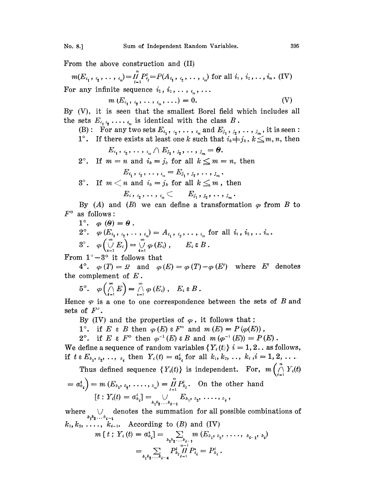From the above construction and (II)

$$
m(E_{i_1}, i_2, \ldots, i_n) = \prod_{i=1}^n P_{i_i}^i = P(A_{i_1}, i_2, \ldots, i_n)
$$
 for all  $i_1, i_2, \ldots, i_n$ . (IV)  
For any infinite sequence  $i_1, i_2, \ldots, i_n, \ldots$ 

$$
m(E_{i_1}, i_2, \ldots, i_n, \ldots) = 0. \qquad \qquad (V)
$$

By (V), it is seen that the smallest Borel field which includes all the sets  $E_{i_1 i_2} \ldots i_n$  is identical with the class B.

(B): For any two sets  $E_{i_1}, i_2, \ldots, i_n$  and  $E_{j_1}, j_2, \ldots, j_m$ , it is seen:

1<sup>°</sup>. If there exists at least one *k* such that 
$$
i_k \neq j_k
$$
,  $k \leq m, n$ , then

$$
E_{i_1}, i_2, \ldots, i_n \cap E_{i_1}, i_2, \ldots, i_m = 0.
$$

2<sup>°</sup>. If 
$$
m = n
$$
 and  $i_k = j_k$  for all  $k \leq m = n$ , then

$$
E_{i_1}, i_2, \ldots, i_n = E_{j_1}, j_2, \ldots, j_m.
$$

 $3^{\circ}$ . If  $m < n$  and  $i_k = j_k$  for all  $k \leq m$ , then

 $E_i, \, i_2, \ldots, \, i_n \subset E_{j_1}, \, j_2, \ldots, \, j_m$ .

By (A) and (B) we can define a transformation  $\varphi$  from B to  $F^{\circ}$  as follows:

1°. 
$$
\varphi(\theta) = \theta
$$
.  
\n2°.  $\varphi(E_{i_1}, i_2, \ldots, i_n) = A_{i_1}, i_2, \ldots, i_n$  for all  $i_1, i_2, \ldots, i_n$ .  
\n3°.  $\varphi\begin{pmatrix} \emptyset \\ \emptyset \\ i=1 \end{pmatrix} = \bigvee_{i=1}^n \varphi(E_i), \qquad E_i \in B$ .

From  $1^\circ - 3^\circ$  it follows that

4°,  $\varphi(T) = \varOmega$  and  $\varphi(E) = \varphi(T) - \varphi(E')$  where E' denotes the complement of  $E$ .

$$
5^{\circ}. \quad \varphi\left(\bigcap_{i=1}^{\infty} E\right) = \bigcap_{i=1}^{\infty} \varphi\left(E_{i}\right), \quad E_{i} \in B.
$$

Hence  $\varphi$  is a one to one correspondence between the sets of B and sets of  $F^{\prime}$ .

By (IV) and the properties of  $\varphi$ , it follows that;

1°. if E  $\in$  B then  $\varphi(E) \in F^{\circ}$  and  $m(E) = P(\varphi(E))$ ,

2°. if  $E \in F^{\circ}$  then  $\varphi^{-1}(E) \in B$  and  $m(\varphi^{-1}(E)) = P(E)$ .

We define a sequence of random variables  $\{Y_i(t)\}\$  = 1, 2. as follows, if  $t \in E_{k_1, k_2, \ldots, k_4}$  then  $Y_i(t) = a_{k_i}^i$  for all  $k_1, k_2, \ldots, k_i, i = 1, 2, \ldots$ 

Thus defined sequence  $\{Y_i(t)\}\$ is independent. For,  $m\left(\bigwedge_{i=1}^n Y_i(t)\right)$  $\frac{n}{r}$   $\frac{n}{r}$   $\frac{n}{r}$   $\frac{n}{r}$  $\Delta$  $\mathcal{L}(\mathcal{L})$ ď

$$
= a_{k_i}^* = m(E_{k_1}, k_2, \ldots, k_n) = \prod_{l=1}^n P_{k_l}^l.
$$
 On the other hand  

$$
[t: Y_i(t) = a_{k_i}^i] = \bigcup_{k_1, k_2, \ldots, k_{i-1}} E_{k_1, k_2}, \ldots, k_i,
$$

where  $\bigcup_{k_1 k_2 ... k_{i-1}}$  denotes the summation for all possible combinations of  $k_1, k_2, \ldots, k_{i-1}$ . According to (B) and (IV)

$$
m[t; Y_i(t) = a_{k_i}^i] = \sum_{k_1 k_2 \ldots k_{i-1}} m(E_{k_1, k_2}, \ldots, k_{i-1}, k_i)
$$
  
= 
$$
\sum_{k_1 k_2 \ldots k_{i-4}} P_{k_i}^i \prod_{l=1}^{n-1} P_{k_i}^i = P_{k_i}^i.
$$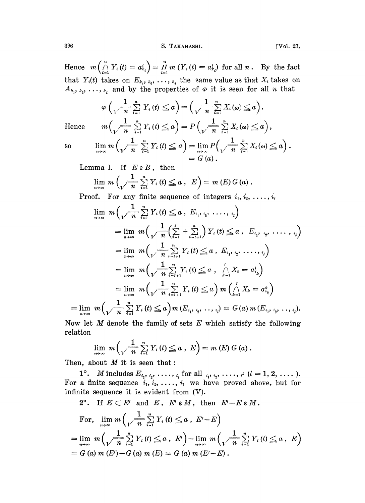S. TAKAHASHI.

[Vol. 27,

Hence  $m\left(\bigwedge_{i=1}^{n} Y_i(t) = a_{k_i}^i\right) = \prod_{i=1}^{n} m\left(Y_i(t) = a_{k_i}^i\right)$  for all  $n$ . By the fact that  $Y_i(t)$  takes on  $E_{k_1, k_2, \ldots, k_i}$  the same value as that  $X_i$  takes on  $A_{k_1, k_2, \ldots, k_i}$  and by the properties of  $\varphi$  it is seen for all *n* that

$$
\varphi\left(\frac{1}{\sqrt{n}}\sum_{i=1}^n Y_i(t) \leq a\right) = \left(\frac{1}{\sqrt{n}}\sum_{i=1}^n X_i(\omega) \leq a\right).
$$

$$
m\left(\frac{1}{\sqrt{n}}\sum_{i=1}^n Y_i(t) \leq a\right) = P\left(\frac{1}{\sqrt{n}}\sum_{i=1}^n X_i(\omega) \leq a\right)
$$

Hence

 $80$ 

$$
\lim_{n\to\infty} m\left(\sqrt[n]{\frac{1}{n}}\sum_{i=1}^n Y_i(t) \leq a\right) = \lim_{n\to\infty} P\left(\sqrt{\frac{1}{n}}\sum_{i=1}^n X_i(\omega) \leq a\right).
$$
  
=  $G(a).$ 

Lemma 1. If  $E \in B$ , then

$$
\lim_{n\to\infty} m\left(\sqrt{\frac{1}{n}}\sum_{i=1}^n Y_i(t) \leq a, E\right) = m(E) G(a).
$$

**Proof.** For any finite sequence of integers  $i_1, i_2, \ldots, i_l$ 

$$
\lim_{n \to \infty} m \left( \sqrt{\frac{1}{n}} \sum_{i=1}^{n} Y_i(t) \leq a, E_{i_1, i_2, \ldots, i_l} \right)
$$
\n
$$
= \lim_{n \to \infty} m \left( \sqrt{\frac{1}{n} \left( \sum_{i=1}^{l} + \sum_{i=l+1}^{n} \right) Y_i(t)} \leq a, E_{i_1, i_2, \ldots, i_l} \right)
$$
\n
$$
= \lim_{n \to \infty} m \left( \sqrt{\frac{1}{n} \sum_{i=l+1}^{n} Y_i(t)} \leq a, E_{i_1, i_2, \ldots, i_l} \right)
$$
\n
$$
= \lim_{n \to \infty} m \left( \sqrt{\frac{1}{n} \sum_{i=l+1}^{n} Y_i(t)} \leq a, \sqrt{\frac{1}{n} X_k} = a_{i_k}^1 \right)
$$
\n
$$
= \lim_{n \to \infty} m \left( \sqrt{\frac{1}{n} \sum_{i=l+1}^{n} Y_i(t)} \leq a \right) m \left( \sqrt{\frac{1}{n} X_k} = a_{i_k}^k \right)
$$
\n
$$
\lim_{n \to \infty} m \left( \sqrt{\frac{1}{n} \sum_{i=1}^{n} Y_i(t)} \leq a \right) m (E_{i_1, i_2, \ldots, i_l}) = G(a) m (E_{i_1, i_2, \ldots, i_l}).
$$

Now let  $M$  denote the family of sets  $E$  which satisfy the following relation

$$
\lim_{n\to\infty} m\left(\sqrt{\frac{1}{n}}\sum_{i=1}^n Y_i(t) \leq a, E\right) = m(E) G(a).
$$

Then, about  $M$  it is seen that:

1°. *M* includes  $E_{i_1}, i_2, \ldots, i_l$  for all  $i_1, i_2, \ldots, i_l$   $(l = 1, 2, \ldots)$ .<br>For a finite sequence  $i_1, i_2, \ldots, i_l$  we have proved above, but for infinite sequence it is evident from (V).

2<sup>o</sup>. If 
$$
E \subset E'
$$
 and  $E$ ,  $E' \in M$ , then  $E' - E \in M$ .  
\nFor,  $\lim_{n \to \infty} m \left( \frac{1}{\sqrt{n}} \sum_{i=1}^{n} Y_i(t) \le a, E' - E \right)$   
\n $= \lim_{n \to \infty} m \left( \frac{1}{\sqrt{n}} \sum_{i=1}^{n} Y_i(t) \le a, E' \right) - \lim_{n \to \infty} m \left( \frac{1}{\sqrt{n}} \sum_{i=1}^{n} Y_i(t) \le a, E \right)$   
\n $= G(a) m (E') - G(a) m (E) = G(a) m (E' - E)$ .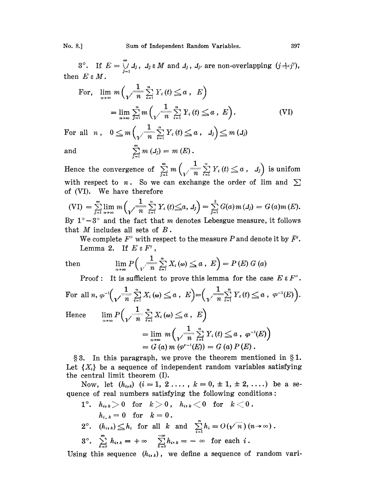No. 8.] Sum of Independent Random Variables. 397

3°. If  $E=\bigcup_{i=1}^{\infty} A_i$ ,  $A_i \in M$  and  $A_j$ ,  $A_{j'}$  are non-overlapping  $(j \in A)$ then  $E \in M$ .

$$
E \in M.
$$
  
For,  $\lim_{n \to \infty} m \left( \sqrt{\frac{1}{n} \sum_{i=1}^{n} Y_i(t)} \le a, E \right)$   

$$
= \lim_{n \to \infty} \sum_{j=1}^{n} m \left( \sqrt{\frac{1}{n} \sum_{i=1}^{n} Y_i(t)} \le a, E \right).
$$
 (VI)

For all *n*,  $0 \leq m \left( \sqrt{\frac{1}{n}} \sum_{i=1}^{n} Y_i(t) \leq a, d_i \right) \leq m (d_i)$ and  $\sum_{i=1}^{\infty} m (J_i) = m (E)$ .

Hence the convergence of  $\sum_{i=1}^{\infty} m \left( \frac{1}{n} \sum_{i=1}^{n} Y_i(t) \leq a, 1 \right)$  is unifom with respect to *n*. So we can exchange the order of lim and  $\sum$  of (VI). We have therefore

$$
(VI) = \sum_{j=1}^{\infty} \lim_{n \to \infty} m \left( \sqrt{\frac{1}{n}} \sum_{i=1}^{n} Y_i(t) \leq a, d_j \right) = \sum_{j=1}^{8} G(a) m(d_j) = G(a) m(E).
$$

By  $1^\circ - 3^\circ$  and the fact that m denotes Lebesgue measure, it follows that  $M$  includes all sets of  $B$ .

*M* includes all sets of *B*.<br>We complete  $F^{\circ}$  with respect to the measure *P* and denote it by  $\bar{F}^{\prime}$ . Lemma 2. If  $E \in F'$ ,

then 
$$
\lim_{n\to\infty} P\left(\sqrt{\frac{1}{n}} \sum_{i=1}^n X_i(\omega) \leq a, E\right) = P(E) G(a)
$$

Proof: It is sufficient to prove this lemma for the case  $E \in F^{\circ}$ .

For all 
$$
n, \varphi^{-1}(\sqrt{\frac{1}{n} \sum_{i=1}^{n} X_i(\omega)} \leq a, E) = (\sqrt{\frac{1}{n} \sum_{i=1}^{n} Y_i(t)} \leq a, \varphi^{-1}(E)).
$$
  
\nHence 
$$
\lim_{n \to \infty} P\left(\sqrt{\frac{1}{n} \sum_{i=1}^{n} X_i(\omega)} \leq a, E\right)
$$
\n
$$
= \lim_{n \to \infty} m\left(\sqrt{\frac{1}{n} \sum_{i=1}^{n} Y_i(t)} \leq a, \varphi^{-1}(E)\right)
$$
\n
$$
= G(a) m (\varphi^{r-1}(E)) = G(a) P(E).
$$

 $\S 3.$  In this paragraph, we prove the theorem mentioned in  $\S 1.$ Let  ${X<sub>i</sub>}$  be a sequence of independent random variables satisfying the central limit theorem (I).

Now, let  $(h_{i,k})$   $(i=1, 2, ..., k=0, \pm 1, \pm 2, ...)$  be a sequence of real numbers satisfying the following conditions:

1°. 
$$
h_{i,k} > 0
$$
 for  $k > 0$ ,  $h_{i,k} < 0$  for  $k < 0$ .  $h_{i,k} = 0$  for  $k = 0$ .  $2^\circ$ .  $(h_{i,k}) \leq h_i$  for all  $k$  and  $\sum_{i=1}^n h_i = O(\sqrt{n})(n \to \infty)$ .  $3^\circ$ .  $\sum_{k=0}^\infty h_{i,k} = +\infty$   $\sum_{k=0}^\infty h_{i,k} = -\infty$  for each  $i$ .

Using this sequence  $(h_{i,k})$ , we define a sequence of random vari-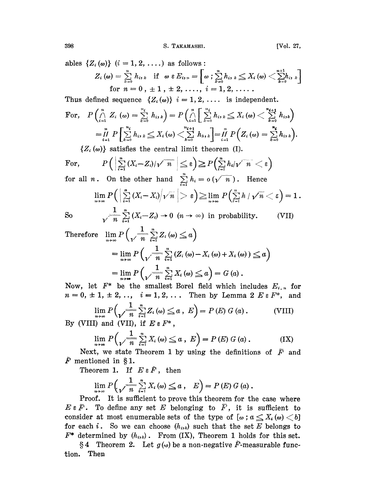ables  $\{Z_i(\omega)\}\$   $(i = 1, 2, \ldots)$  as follows:

$$
Z_i(\omega) = \sum_{k=0}^{n} h_{i,k} \text{ if } \omega \in E_{i,n} = \left[\omega \text{ ; } \sum_{k=0}^{n} h_{i,k} \leq X_i(\omega) \text{ } < \sum_{k=0}^{n+1} h_{i,k} \text{ } \right] \text{ for } n = 0, \pm 1, \pm 2, \ldots, i = 1, 2, \ldots.
$$

Thus defined sequence  $\{Z_i(\omega)\}\,i=1, 2, \ldots$  is independent.

For, 
$$
P\left(\bigcap_{i=1}^{n} Z_{i} \left(\omega\right) = \sum_{k=0}^{n_{i}} h_{i,k}\right) = P\left(\bigcap_{i=1}^{n} \sum_{k=0}^{n_{i}} h_{i,k} \leq X_{i} \left(\omega\right) < \sum_{k=0}^{n_{i+1}} h_{i,k}\right)
$$

$$
= \prod_{i=1}^{n} P\left[\sum_{k=0}^{n_{i}} h_{i,k} \leq X_{i} \left(\omega\right) < \sum_{k=0}^{n_{i+1}} h_{i,k}\right] = \prod_{i=1}^{n} P\left(Z_{i} \left(\omega\right) = \sum_{k=0}^{n_{i}} h_{i,k}\right).
$$

 $\{Z_i(\omega)\}\$  satisfies the central limit theorem (I).

For, 
$$
P\left(\left|\sum_{i=1}^{n}(X_i-Z_i)/\sqrt{n}\right|\leq \varepsilon\right)\geq P\left(\sum_{i=1}^{n}h_i/\sqrt{n}<\varepsilon\right)
$$
  
for all  $n$  On the other hand  $\sum_{i=1}^{n}h=\varepsilon(\sqrt{n})$ . Hence

for all *n*. On the other hand  $\sum_{i=1} h_i = o(\sqrt{n})$ . Hence

$$
\lim_{n\to\infty}P\Big(\left|\sum_{i=1}^n\left(X_i\!-\!X_i\right)\!\!\left/\!\sqrt{n}\right.\right|>\varepsilon\Big)\!\ge\!\lim_{n\to\infty}P\Big(\!\sum_{i=1}^nh\,/\,\sqrt{n}<\varepsilon\Big)=1\,.
$$

 $So$ 

$$
\sqrt{\frac{1}{n}} \sum_{i=1}^{n} (X_i - Z_i) \to 0 \quad (n \to \infty) \text{ in probability.}
$$
 (VII)

Therefore  $\lim_{n\to\infty} P\left(\sqrt{\frac{1}{n}\sum_{i=1}^n Z_i(\omega)}\leq a\right)$  $= \lim_{n \to \infty} P\left(\sqrt{\frac{1}{n} \sum_{i=1}^{n} (Z_i(\omega) - X_i(\omega) + X_i(\omega)) \leq a}\right)$ 

$$
= \lim_{n \to \infty} P\left(\sqrt{\frac{1}{n} \sum_{i=1}^{n} X_i} \left(\omega\right) \leq a\right) = G\left(a\right).
$$

Now, let  $F^*$  be the smallest Borel field which includes  $E_{i,n}$  for  $n = 0, \pm 1, \pm 2, \ldots, i = 1, 2, \ldots$  Then by Lemma 2  $E \in F^*$ , and

$$
\lim_{n \to \infty} P\left(\sqrt{\frac{1}{n}} \sum_{i=1}^{n} Z_i \left(\omega\right) \leq a, \ E\right) = P\left(E\right) G\left(a\right). \tag{VIII}
$$

By (VIII) and (VII), if  $E \in F^*$ ,

$$
\lim_{n \to \infty} P\left(\frac{1}{\sqrt{n}} \sum_{i=1}^{n} X_i \left( \omega \right) \leq a, \ E\right) = P\left(E\right) G\left(a\right). \tag{IX}
$$

Next, we state Theorem 1 by using the definitions of  $\overline{F}$  and  $\mathbf{F}$  mentioned in §1.

Theorem 1. If  $E \in \tilde{F}$ , then

$$
\lim_{n\to\infty} P\left(\sqrt{\frac{1}{n}\sum_{i=1}^n X_i\left(\omega\right)} \leq a\,,\quad E\right) = P\left(E\right) G\left(a\right).
$$

Proof. It is sufficient to prove this theorem for the case where  $E \in \overline{F}$ . To define any set E belonging to  $\overline{F}$ , it is sufficient to consider at most enumerable sets of the type of  $[\omega : a \leq X, (\omega) < b]$ for each i. So we can choose  $(h_{i,k})$  such that the set E belongs to  $F^*$  determined by  $(h_{i,k})$ . From (IX), Theorem 1 holds for this set.

§ 4 Theorem 2. Let  $g(\omega)$  be a non-negative  $\tilde{F}$ -measurable function. Then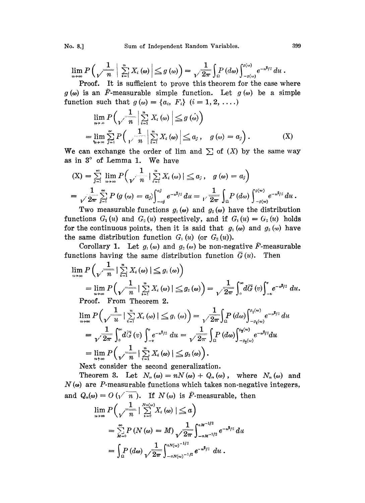$$
\lim_{n\to\infty} P\left(\sqrt{\frac{1}{n}}\left|\sum_{i=1}^{n} X_i(\omega)\right| \leq g(\omega)\right) = \sqrt{\frac{1}{2\pi}} \int_{\Omega} P(d\omega) \int_{-g(\omega)}^{g(\omega)} e^{-u^2/2} du.
$$
  
Proof. It is sufficient to prove this theorem for the case we

Proof. It is sufficient to prove this theorem for the case where  $g(\omega)$  is an F-measurable simple function. Let  $g(\omega)$  be a simple function such that  $g(\omega)=\{a_i, F_i\}$   $(i = 1, 2, \ldots)$ 

$$
\lim_{n\to\infty} P\left(\sqrt{\frac{1}{n}}\left|\sum_{i=1}^{n} X_i\left(\omega\right)\right| \leq g\left(\omega\right)\right)
$$
\n
$$
= \lim_{n\to\infty} \sum_{j=1}^{\infty} P\left(\frac{1}{\sqrt{n}}\left|\sum_{i=1}^{n} X_i\left(\omega\right)\right| \leq a_j, \quad g\left(\omega\right) = a_j\right). \tag{X}
$$

We can exchange the order of lim and  $\sum$  of  $(X)$  by the same way as in 3° of Lemma 1. We have

$$
\begin{aligned}\n\text{(X)} &= \sum_{j=1}^{\infty} \lim_{n \to \infty} P\left(\frac{1}{\gamma \cdot n} \mid \sum_{i=1}^{n} X_i \left(\omega\right) \mid \leq a_j, \quad g\left(\omega\right) = a_j\right) \\
&= \frac{1}{\sqrt{2\pi}} \sum_{j=1}^{\infty} P\left(g\left(\omega\right) = a_j\right) \int_{-a_j}^{a_j} e^{-u^2/2} du = \frac{1}{\sqrt{2\pi}} \int_{\Omega} P\left(d\omega\right) \int_{-g\left(\omega\right)}^{g\left(\omega\right)} e^{-u^2/2} du. \\
\text{Two measurable functions } g_1\left(\omega\right) \text{ and } g_2\left(\omega\right) \text{ have the distribution} \\
\text{functions } G_1(u) \text{ and } G_2(u) \text{ respectively, and if } G_1(u) = G_2(u) \text{ hold}\n\end{aligned}
$$

Two measurable functions  $g_1(\omega)$  and  $g_2(\omega)$  have the distribution functions  $G_1(u)$  and  $G_2(u)$  respectively, and if  $G_1(u) = G_2(u)$  holds for the continuous points, then it is said that  $g_1(\omega)$  and  $g_2(\omega)$  have the same distribution function  $G_1(u)$  (or  $G_2(u)$ ).

Corollary 1. Let  $g_1(\omega)$  and  $g_2(\omega)$  be non-negative  $\tilde{F}$ -measurable functions having the same distribution function  $\overline{G}(u)$ . Then

$$
\lim_{n\to\infty} P\left(\sqrt{\frac{1}{n}} \mid \sum_{i=1}^{n} X_i(\omega) \mid \leq g_1(\omega)\right)
$$
\n
$$
= \lim_{n\to\infty} P\left(\sqrt{\frac{1}{n}} \mid \sum_{i=1}^{n} X_i(\omega) \mid \leq g_2(\omega)\right) = \sqrt{\frac{1}{2\pi}} \int_0^{\infty} d\overline{G}(\omega) \int_{-\nu}^{\nu} e^{-w^2/2} du.
$$
\nProof. From Theorem 2.  
\n
$$
\lim_{n\to\infty} P\left(\sqrt{\frac{1}{u}} \mid \sum_{i=1}^{n} X_i(\omega) \mid \leq g_1(\omega)\right) = \sqrt{\frac{1}{2\pi}} \int_{\Omega} P(d\omega) \int_{-g_1(\omega)}^{g_1(\omega)} e^{-w^2/2} du
$$
\n
$$
= \sqrt{\frac{1}{2\pi}} \int_0^{\infty} d\overline{G}(\omega) \int_{-\nu}^{\nu} e^{-w^2/2} du = \sqrt{\frac{1}{2\pi}} \int_{\Omega} P(d\omega) \int_{-g_2(\omega)}^{g_2(\omega)} e^{-w^2/2} du
$$
\n
$$
= \lim_{n\to\infty} P\left(\sqrt{\frac{1}{n}} \mid \sum_{i=1}^{n} X_i(\omega) \mid \leq g_2(\omega)\right).
$$

Next consider the second generalization.

Theorem 3. Let  $N_n(\omega) = nN(\omega) + Q_n(\omega)$ , where  $N_n(\omega)$  and  $N(\omega)$  are P-measurable functions which takes non-negative integers, and  $Q_n(\omega) = O(\sqrt{n})$ . If  $N(\omega)$  is  $\tilde{F}$ -measurable, then

$$
\lim_{n\to\infty} P\left(\frac{1}{\gamma^{-n}}|\sum_{i=0}^{N_{n}(\omega)}X_{i}(\omega)|\leq a\right)
$$
  
= 
$$
\sum_{M=0}^{\infty} P(N(\omega)=M)\frac{1}{\gamma^{-2\pi}}\int_{-aM^{-1/2}}^{aM^{-1/2}}e^{-u^{2}/2} du
$$
  
= 
$$
\int_{\Omega} P(d\omega)\frac{1}{\gamma^{-2\pi}}\int_{-aN(\omega)^{-1/2}}^{aN(\omega)^{-1/2}}e^{-u^{2}/2} du.
$$